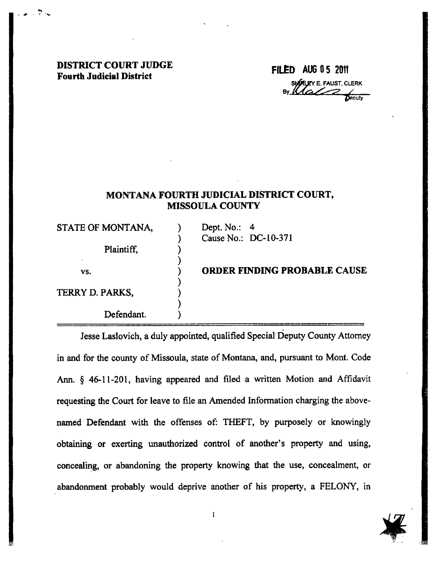## DISTRICT COURT JUDGE Fourth Judicial District

## $FILED$  AUG 05 2011 SHALLEY E. FAUST, CLERK

## MONTANA FOURTH JUDICIAL DISTRICT COURT, **MISSOULA COUNTY**

STATE OF MONTANA,

Plaintiff,

Defendant.

vs.

TERRY D. PARKS,

.

Dept. No.: 4 Cause No.: DC-10-371

ORDER FINDING PROBABLE CAUSE

Jesse Laslovich, a duly appointed, qualified Special Deputy County Attorney in and for the county of Missoula, state of Montana, and, pursuant to Mont. Code Ann. \$ 46-ll-201, having appeared and filed a written Motion and Affidavit requesting the Court for leave to file an Amended Information charging the abovenamed Defendant with the offenses of: THEFT, by purposely or knowingly obtaining or exerting unauthorized contol of another's property and using, concealing, or abandoning the property knowing that the use, concealment, or abandonment probably would deprive another of his property, a FELONY, in

 $\mathbf{1}$ 

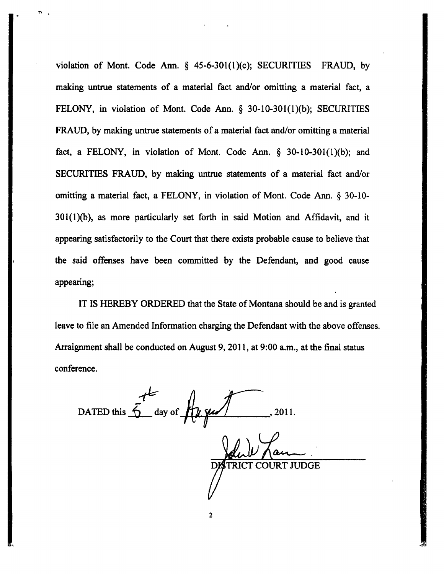violation of Mont. Code Ann.  $\S$  45-6-301(1)(c); SECURITIES FRAUD, by making untrue statements of a material fact and/or omitting a material fact, <sup>a</sup> FELONY, in violation of Mont. Code Ann.  $\S$  30-10-301(1)(b); SECURITIES FRAUD, by making untrue statements of a material fact and/or omitting a material fact, a FELONY, in violation of Mont. Code Ann.  $\S$  30-10-301(1)(b); and SECURITIES FRAUD, by making untrue statements of a material fact and/or omitting a material fact, a FELONY, in violation of Mont. Code Ann. \$ 30-10-  $301(1)(b)$ , as more particularly set forth in said Motion and Affidavit, and it appearing satisfactorily to the Court that there exists probable cause to believe that the said offenses have been committed by the Defendant, and good cause appearing;

IT IS HEREBY ORDERED that the State of Montana should be and is granted leave to file an Amended Information charging the Defendant with the above offenses. Arraignment shall be conducted on August 9, 2011, at 9:00 a.m., at the final status conference.

t  $\ddot{\bigcirc}$  day of DATED this  $\int$  day of  $\int$   $\frac{1}{4}$   $\frac{1}{4}$   $\frac{1}{4}$  , 2011. T COURT JUDGE